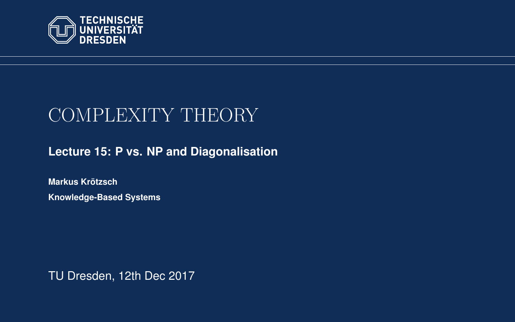<span id="page-0-0"></span>

# COMPLEXITY THEORY

**[Lecture 15: P vs. NP and Diagonalisation](https://iccl.inf.tu-dresden.de/web/Complexity_Theory_(WS2017/18))**

**[Markus Krotzsch](https://iccl.inf.tu-dresden.de/web/Markus_Kr%C3%B6tzsch/en) ¨ Knowledge-Based Systems**

TU Dresden, 12th Dec 2017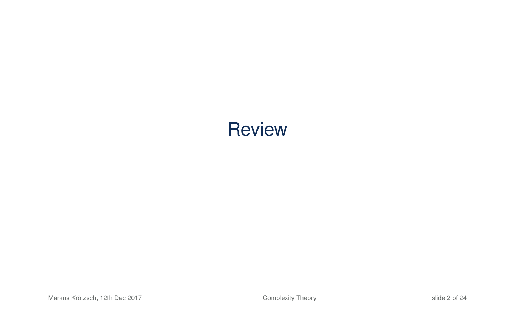# **Review**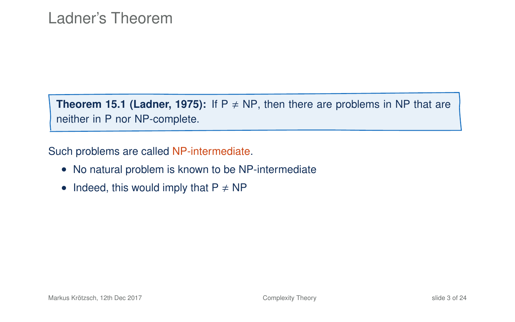**Theorem 15.1 (Ladner, 1975):** If  $P \neq NP$ , then there are problems in NP that are neither in P nor NP-complete.

Such problems are called NP-intermediate.

- No natural problem is known to be NP-intermediate
- Indeed, this would imply that  $P \neq NP$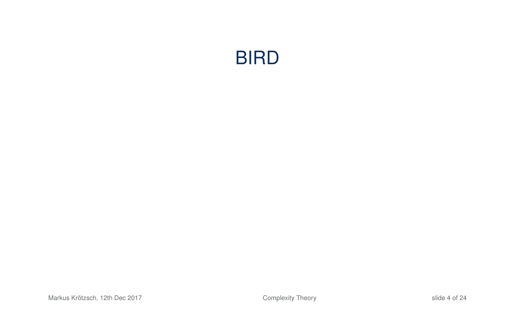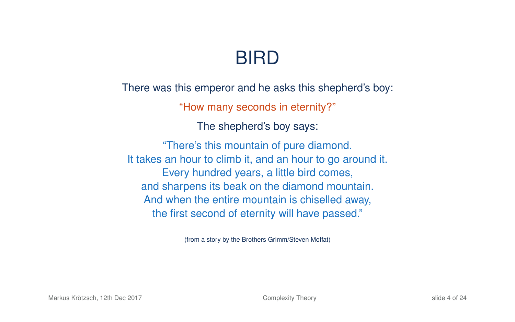# BIRD

There was this emperor and he asks this shepherd's boy:

"How many seconds in eternity?"

The shepherd's boy says:

"There's this mountain of pure diamond. It takes an hour to climb it, and an hour to go around it. Every hundred years, a little bird comes, and sharpens its beak on the diamond mountain. And when the entire mountain is chiselled away, the first second of eternity will have passed."

(from a story by the Brothers Grimm/Steven Moffat)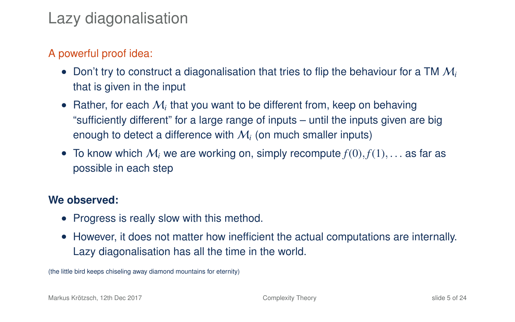#### Lazy diagonalisation

#### A powerful proof idea:

- Don't try to construct a diagonalisation that tries to flip the behaviour for a TM M*<sup>i</sup>* that is given in the input
- $\bullet$  Rather, for each  $\mathcal{M}_i$  that you want to be different from, keep on behaving "sufficiently different" for a large range of inputs – until the inputs given are big enough to detect a difference with  $M_i$  (on much smaller inputs)
- To know which  $M_i$  we are working on, simply recompute  $f(0), f(1), \ldots$  as far as possible in each step

#### **We observed:**

- Progress is really slow with this method.
- However, it does not matter how inefficient the actual computations are internally. Lazy diagonalisation has all the time in the world.

(the little bird keeps chiseling away diamond mountains for eternity)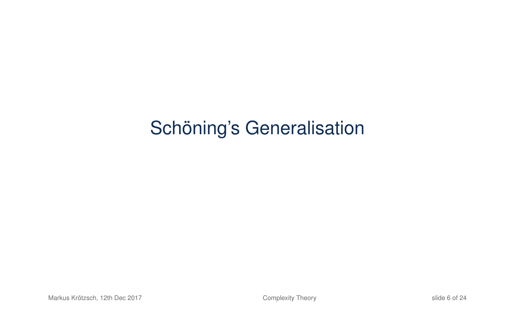# Schöning's Generalisation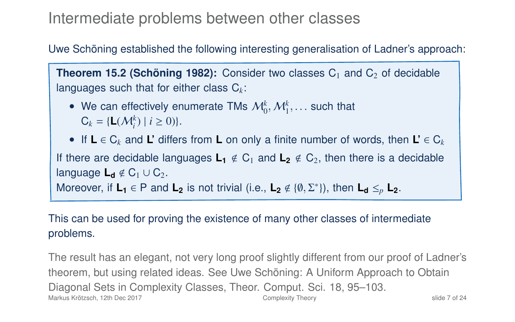#### Intermediate problems between other classes

Uwe Schöning established the following interesting generalisation of Ladner's approach:

**Theorem 15.2 (Schöning 1982):** Consider two classes  $C_1$  and  $C_2$  of decidable languages such that for either class C*k*:

- We can effectively enumerate TMs  $\mathcal{M}_0^k, \mathcal{M}_1^k, \dots$  such that  $C_1 = \{1, (M^k) \mid i > 0\}$  $C_k = \{L(\mathcal{M}_i^k) \mid i \ge 0)\}.$
- If **L** ∈ C*<sup>k</sup>* and **L'** differs from **L** on only a finite number of words, then **L'** ∈ C*<sup>k</sup>* If there are decidable languages  $L_1 \notin C_1$  and  $L_2 \notin C_2$ , then there is a decidable language  $L_d \notin C_1 \cup C_2$ . Moreover, if  $L_1 \in P$  and  $L_2$  is not trivial (i.e.,  $L_2 \notin \{0, \Sigma^*\}$ ), then  $L_d \leq_p L_2$ .

#### This can be used for proving the existence of many other classes of intermediate problems.

The result has an elegant, not very long proof slightly different from our proof of Ladner's theorem, but using related ideas. See Uwe Schöning: A Uniform Approach to Obtain Diagonal Sets in Complexity Classes, Theor. Comput. Sci. 18, 95–103. Markus Krötzsch, 12th Dec 2017 **[Complexity Theory](#page-0-0)** Complexity Theory slide 7 of 24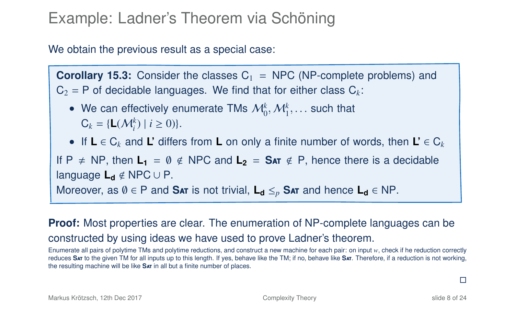### Example: Ladner's Theorem via Schöning

We obtain the previous result as a special case:

**Corollary 15.3:** Consider the classes  $C_1$  = NPC (NP-complete problems) and  $C_2 = P$  of decidable languages. We find that for either class  $C_k$ :

- We can effectively enumerate TMs  $\mathcal{M}_0^k, \mathcal{M}_1^k, \dots$  such that  $C_1 = \{1, (M^k) \mid k > 0\}$  $C_k = \{L(\mathcal{M}_i^k) \mid i \ge 0)\}.$
- If **L** ∈ C*<sup>k</sup>* and **L'** differs from **L** on only a finite number of words, then **L'** ∈ C*<sup>k</sup>*

If  $P \neq NP$ , then  $L_1 = \emptyset \notin NPC$  and  $L_2 = Sar \notin P$ , hence there is a decidable language **L<sup>d</sup>** < NPC ∪ P.

Moreover, as  $\emptyset \in P$  and **Sat** is not trivial,  $L_d \leq_p S_{AT}$  and hence  $L_d \in NP$ .

#### **Proof:** Most properties are clear. The enumeration of NP-complete languages can be constructed by using ideas we have used to prove Ladner's theorem.

Enumerate all pairs of polytime TMs and polytime reductions, and construct a new machine for each pair: on input *w*, check if he reduction correctly reduces **S**at to the given TM for all inputs up to this length. If yes, behave like the TM; if no, behave like **S**at. Therefore, if a reduction is not working, the resulting machine will be like **S**at in all but a finite number of places.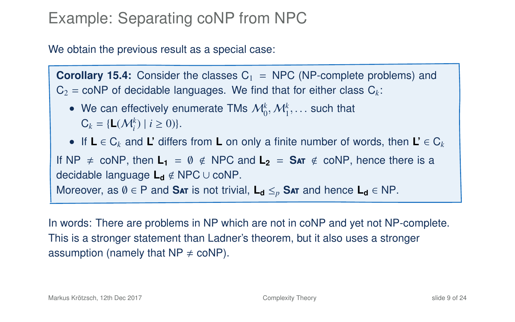### Example: Separating coNP from NPC

We obtain the previous result as a special case:

**Corollary 15.4:** Consider the classes  $C_1$  = NPC (NP-complete problems) and  $C_2$  = coNP of decidable languages. We find that for either class  $C_k$ :

• We can effectively enumerate TMs  $\mathcal{M}_0^k, \mathcal{M}_1^k, \dots$  such that  $C_1 = \{1, (M^k) \mid k > 0\}$  $C_k = \{L(\mathcal{M}_i^k) \mid i \ge 0)\}.$ 

• If **L** ∈ C*<sup>k</sup>* and **L'** differs from **L** on only a finite number of words, then **L'** ∈ C*<sup>k</sup>* If  $NP \neq \text{coNP}$ , then  $L_1 = \emptyset \notin \text{NPC}$  and  $L_2 = \text{SAT} \notin \text{coNP}$ , hence there is a decidable language **L<sup>d</sup>** < NPC ∪ coNP.

Moreover, as  $\emptyset \in P$  and **Sat** is not trivial,  $L_d \leq_p S_{AT}$  and hence  $L_d \in NP$ .

In words: There are problems in NP which are not in coNP and yet not NP-complete. This is a stronger statement than Ladner's theorem, but it also uses a stronger assumption (namely that  $NP \neq coNP$ ).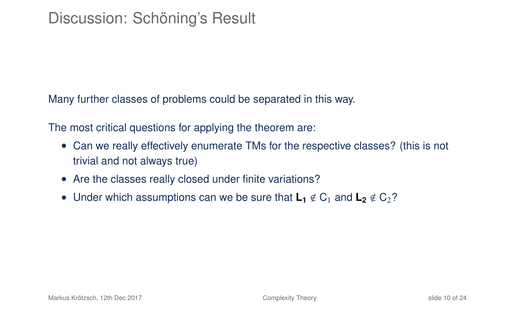Many further classes of problems could be separated in this way.

The most critical questions for applying the theorem are:

- Can we really effectively enumerate TMs for the respective classes? (this is not trivial and not always true)
- Are the classes really closed under finite variations?
- Under which assumptions can we be sure that  $\mathsf{L}_1 \notin C_1$  and  $\mathsf{L}_2 \notin C_2$ ?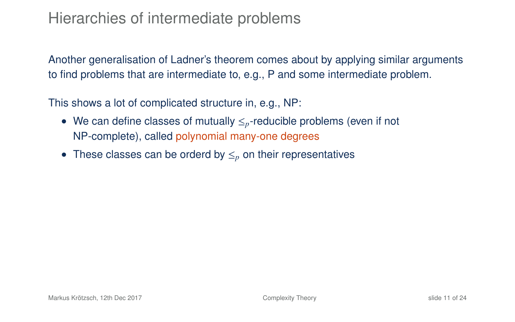### Hierarchies of intermediate problems

Another generalisation of Ladner's theorem comes about by applying similar arguments to find problems that are intermediate to, e.g., P and some intermediate problem.

This shows a lot of complicated structure in, e.g., NP:

- We can define classes of mutually ≤*p*-reducible problems (even if not NP-complete), called polynomial many-one degrees
- These classes can be orderd by ≤*<sup>p</sup>* on their representatives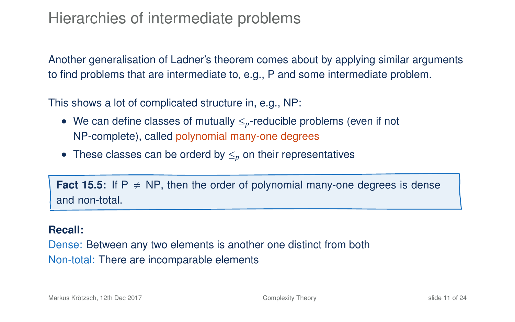#### Hierarchies of intermediate problems

Another generalisation of Ladner's theorem comes about by applying similar arguments to find problems that are intermediate to, e.g., P and some intermediate problem.

This shows a lot of complicated structure in, e.g., NP:

- We can define classes of mutually ≤*p*-reducible problems (even if not NP-complete), called polynomial many-one degrees
- These classes can be orderd by ≤*<sup>p</sup>* on their representatives

**Fact 15.5:** If  $P \neq NP$ , then the order of polynomial many-one degrees is dense and non-total.

#### **Recall:**

Dense: Between any two elements is another one distinct from both Non-total: There are incomparable elements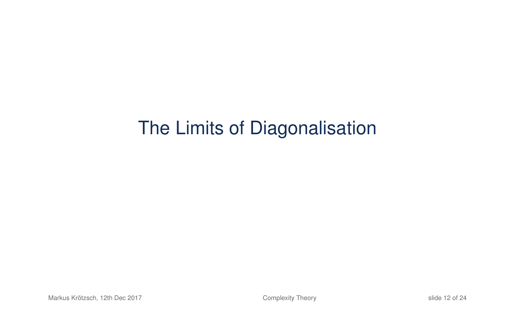# The Limits of Diagonalisation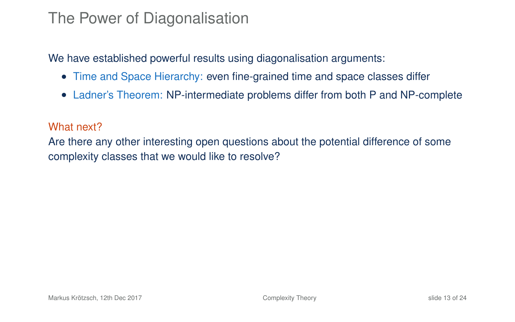#### The Power of Diagonalisation

We have established powerful results using diagonalisation arguments:

- Time and Space Hierarchy: even fine-grained time and space classes differ
- Ladner's Theorem: NP-intermediate problems differ from both P and NP-complete

#### What next?

Are there any other interesting open questions about the potential difference of some complexity classes that we would like to resolve?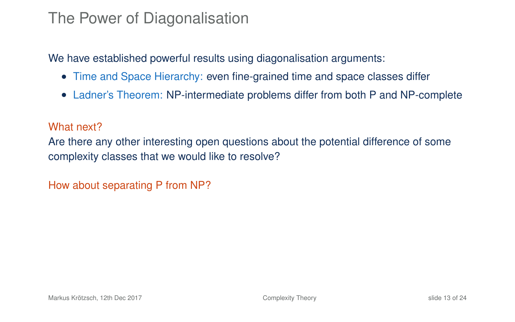#### The Power of Diagonalisation

We have established powerful results using diagonalisation arguments:

- Time and Space Hierarchy: even fine-grained time and space classes differ
- Ladner's Theorem: NP-intermediate problems differ from both P and NP-complete

#### What next?

Are there any other interesting open questions about the potential difference of some complexity classes that we would like to resolve?

How about separating P from NP?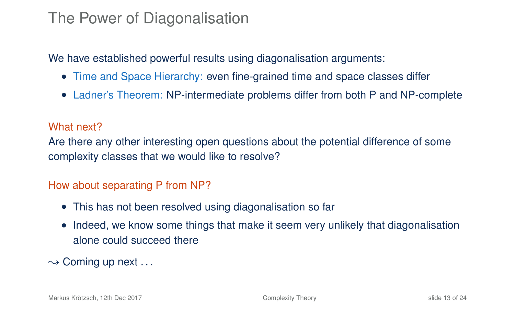#### The Power of Diagonalisation

We have established powerful results using diagonalisation arguments:

- Time and Space Hierarchy: even fine-grained time and space classes differ
- Ladner's Theorem: NP-intermediate problems differ from both P and NP-complete

#### What next?

Are there any other interesting open questions about the potential difference of some complexity classes that we would like to resolve?

#### How about separating P from NP?

- This has not been resolved using diagonalisation so far
- Indeed, we know some things that make it seem very unlikely that diagonalisation alone could succeed there

 $\sim$  Coming up next ...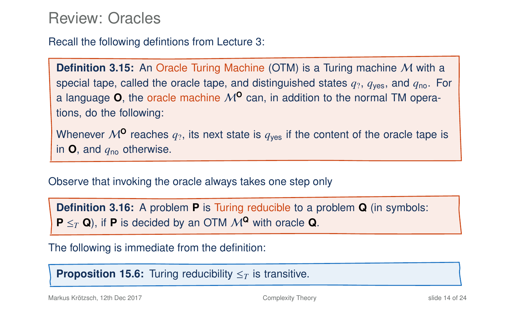Review: Oracles

Recall the following defintions from Lecture 3:

**Definition 3.15:** An Oracle Turing Machine (OTM) is a Turing machine M with a special tape, called the oracle tape, and distinguished states  $q_2$ ,  $q_{\text{ves}}$ , and  $q_{\text{no}}$ . For a language  $\theta$ , the oracle machine  $M^0$  can, in addition to the normal TM operations, do the following:

Whenever  $M^{\mathbf{0}}$  reaches  $q_2$ , its next state is  $q_{\text{ves}}$  if the content of the oracle tape is in  $\mathbf{O}$ , and  $q_{\text{no}}$  otherwise.

Observe that invoking the oracle always takes one step only

**Definition 3.16:** A problem **P** is Turing reducible to a problem **Q** (in symbols:  $P \leq_T Q$ ), if **P** is decided by an OTM  $M^Q$  with oracle **Q**.

The following is immediate from the definition:

**Proposition 15.6:** Turing reducibility  $\leq_T$  is transitive.

Markus Krötzsch, 12th Dec 2017 [Complexity Theory](#page-0-0) slide 14 of 24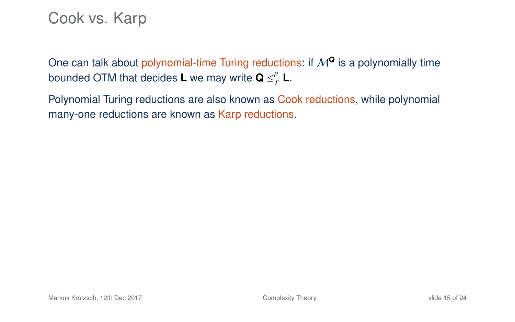### Cook vs. Karp

One can talk about polynomial-time Turing reductions: if  $M^Q$  is a polynomially time bounded OTM that decides **L** we may write **Q**  $\leq^p_7$  $T$ <sup>*L*</sup>.

Polynomial Turing reductions are also known as Cook reductions, while polynomial many-one reductions are known as Karp reductions.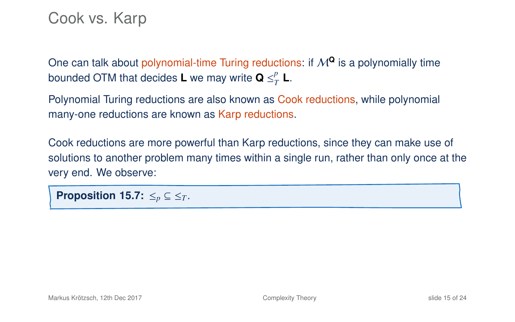### Cook vs. Karp

One can talk about polynomial-time Turing reductions: if  $M^{\mathbf{Q}}$  is a polynomially time bounded OTM that decides **L** we may write **Q**  $\leq^p_7$  $T$ <sup>*L*</sup>.

Polynomial Turing reductions are also known as Cook reductions, while polynomial many-one reductions are known as Karp reductions.

Cook reductions are more powerful than Karp reductions, since they can make use of solutions to another problem many times within a single run, rather than only once at the very end. We observe:

**Proposition 15.7:**  $\leq_p \subseteq \leq_T$ .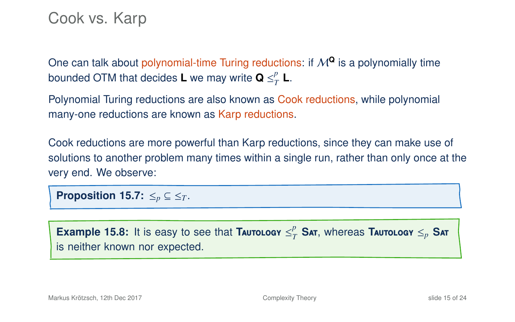### Cook vs. Karp

One can talk about polynomial-time Turing reductions: if  $M^{\mathbf{Q}}$  is a polynomially time bounded OTM that decides **L** we may write **Q**  $\leq^p_7$  $T$ <sup>*L*</sup>.

Polynomial Turing reductions are also known as Cook reductions, while polynomial many-one reductions are known as Karp reductions.

Cook reductions are more powerful than Karp reductions, since they can make use of solutions to another problem many times within a single run, rather than only once at the very end. We observe:

**Proposition 15.7:**  $\leq_p \subseteq \leq_T$ .

**Example 15.8:** It is easy to see that TAUTOLOGY  $\leq^p_7$  $\frac{p}{T}$  **Sat**, whereas **Tautology**  $\leq_p$  **Sat** is neither known nor expected.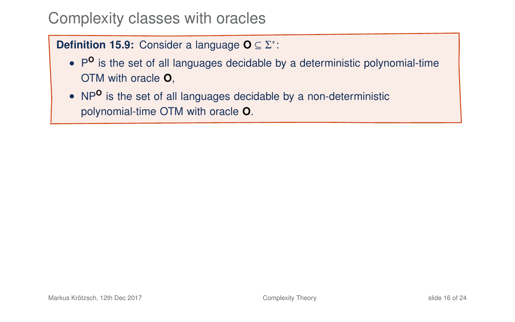#### **Definition 15.9:** Consider a language **O** ⊆ Σ<sup>\*</sup>:

- P<sup>o</sup> is the set of all languages decidable by a deterministic polynomial-time OTM with oracle **O**,
- NP**<sup>O</sup>** is the set of all languages decidable by a non-deterministic polynomial-time OTM with oracle **O**.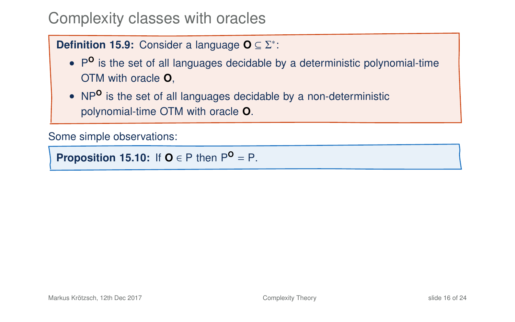#### **Definition 15.9:** Consider a language **O** ⊆ Σ<sup>\*</sup>:

- P<sup>o</sup> is the set of all languages decidable by a deterministic polynomial-time OTM with oracle **O**,
- NP**<sup>O</sup>** is the set of all languages decidable by a non-deterministic polynomial-time OTM with oracle **O**.

Some simple observations:

**Proposition 15.10:** If  $O \in P$  then  $P^O = P$ .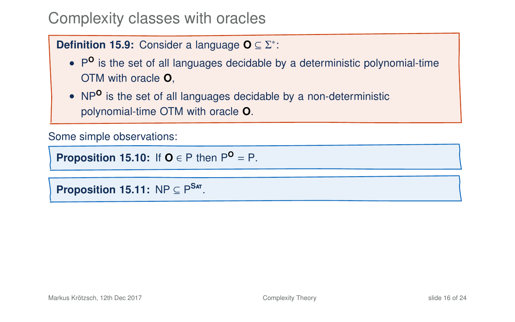#### **Definition 15.9:** Consider a language **O** ⊆ Σ<sup>\*</sup>:

- P<sup>o</sup> is the set of all languages decidable by a deterministic polynomial-time OTM with oracle **O**,
- NP**<sup>O</sup>** is the set of all languages decidable by a non-deterministic polynomial-time OTM with oracle **O**.

Some simple observations:

**Proposition 15.10:** If  $O \in P$  then  $P^O = P$ .

**Proposition 15.11:**  $NP \subseteq P^{Sar}$ .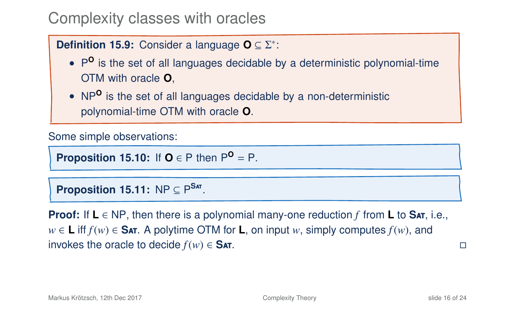#### **Definition 15.9:** Consider a language **O** ⊆ Σ<sup>\*</sup>:

- P<sup>o</sup> is the set of all languages decidable by a deterministic polynomial-time OTM with oracle **O**,
- NP**<sup>O</sup>** is the set of all languages decidable by a non-deterministic polynomial-time OTM with oracle **O**.

Some simple observations:

**Proposition 15.10:** If  $O \in P$  then  $P^O = P$ .

**Proposition 15.11:**  $NP \subseteq P^{Sar}$ .

**Proof:** If **L** ∈ NP, then there is a polynomial many-one reduction *f* from **L** to **S**at, i.e., *w* ∈ **L** iff  $f(w)$  ∈ Sat. A polytime OTM for **L**, on input *w*, simply computes  $f(w)$ , and invokes the oracle to decide *f*(*w*) ∈ **S**at.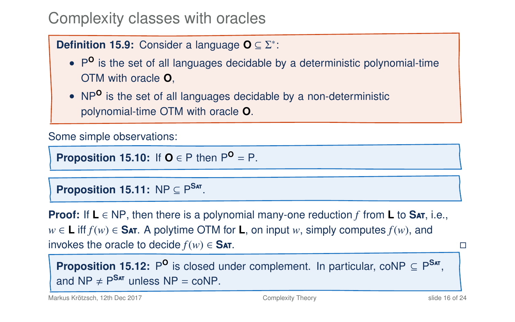#### **Definition 15.9:** Consider a language **O** ⊆ Σ<sup>\*</sup>:

- P<sup>o</sup> is the set of all languages decidable by a deterministic polynomial-time OTM with oracle **O**,
- NP**<sup>O</sup>** is the set of all languages decidable by a non-deterministic polynomial-time OTM with oracle **O**.

Some simple observations:

**Proposition 15.10:** If  $O \in P$  then  $P^O = P$ .

**Proposition 15.11:**  $NP \subseteq P^{Sar}$ .

**Proof:** If **L** ∈ NP, then there is a polynomial many-one reduction *f* from **L** to **S**at, i.e., *w* ∈ **L** iff  $f(w)$  ∈ Sat. A polytime OTM for **L**, on input *w*, simply computes  $f(w)$ , and invokes the oracle to decide *f*(*w*) ∈ **S**at.

**Proposition 15.12:** P<sup>O</sup> is closed under complement. In particular, coNP  $\subseteq P^{Sar}$ , and  $NP \neq P^{Sar}$  unless  $NP = coNP$ .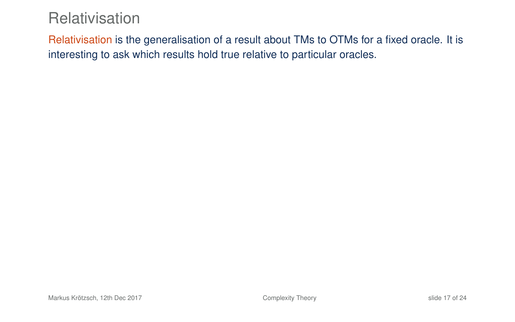### **Relativisation**

Relativisation is the generalisation of a result about TMs to OTMs for a fixed oracle. It is interesting to ask which results hold true relative to particular oracles.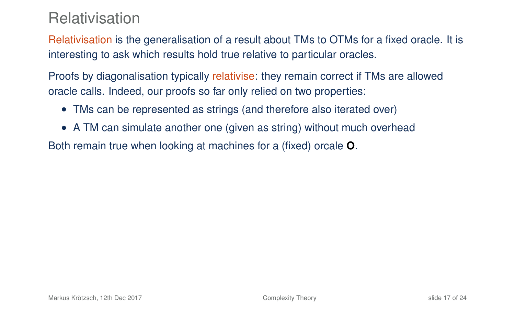### Relativisation

Relativisation is the generalisation of a result about TMs to OTMs for a fixed oracle. It is interesting to ask which results hold true relative to particular oracles.

Proofs by diagonalisation typically relativise: they remain correct if TMs are allowed oracle calls. Indeed, our proofs so far only relied on two properties:

- TMs can be represented as strings (and therefore also iterated over)
- A TM can simulate another one (given as string) without much overhead

Both remain true when looking at machines for a (fixed) orcale **O**.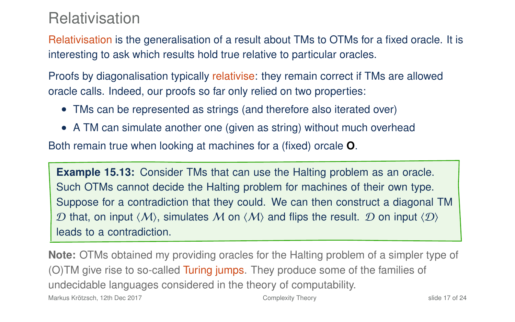### Relativisation

Relativisation is the generalisation of a result about TMs to OTMs for a fixed oracle. It is interesting to ask which results hold true relative to particular oracles.

Proofs by diagonalisation typically relativise: they remain correct if TMs are allowed oracle calls. Indeed, our proofs so far only relied on two properties:

- TMs can be represented as strings (and therefore also iterated over)
- A TM can simulate another one (given as string) without much overhead

Both remain true when looking at machines for a (fixed) orcale **O**.

**Example 15.13:** Consider TMs that can use the Halting problem as an oracle. Such OTMs cannot decide the Halting problem for machines of their own type. Suppose for a contradiction that they could. We can then construct a diagonal TM D that, on input  $\langle M \rangle$ , simulates M on  $\langle M \rangle$  and flips the result. D on input  $\langle D \rangle$ leads to a contradiction.

**Note:** OTMs obtained my providing oracles for the Halting problem of a simpler type of (O)TM give rise to so-called Turing jumps. They produce some of the families of undecidable languages considered in the theory of computability. Markus Krötzsch, 12th Dec 2017 **[Complexity Theory](#page-0-0)** Complexity Theory slide 17 of 24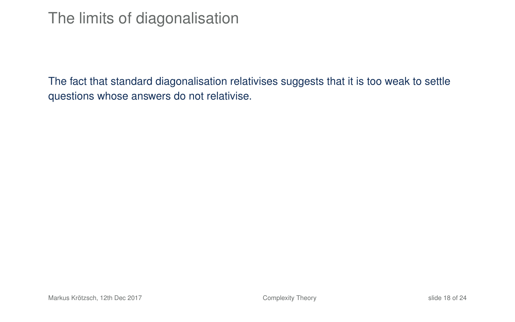### The limits of diagonalisation

The fact that standard diagonalisation relativises suggests that it is too weak to settle questions whose answers do not relativise.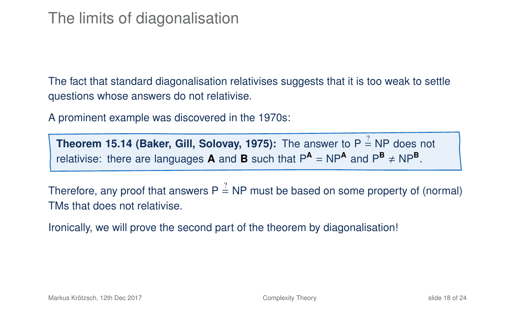### The limits of diagonalisation

The fact that standard diagonalisation relativises suggests that it is too weak to settle questions whose answers do not relativise.

A prominent example was discovered in the 1970s:

**Theorem 15.14 (Baker, Gill, Solovay, 1975):** The answer to P  $\stackrel{?}{=}$  NP does not relativise: there are languages **A** and **B** such that  $P^{\text{A}} = NP^{\text{A}}$  and  $P^{\text{B}} \ne NP^{\text{B}}$ .

Therefore, any proof that answers P  $\stackrel{?}{=}$  NP must be based on some property of (normal) TMs that does not relativise.

Ironically, we will prove the second part of the theorem by diagonalisation!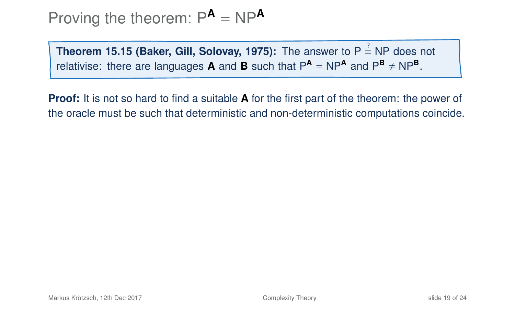# Proving the theorem:  $P^A = NP^A$

**Theorem 15.15 (Baker, Gill, Solovay, 1975):** The answer to P  $\stackrel{?}{=}$  NP does not relativise: there are languages **A** and **B** such that  $P^{\text{A}} = NP^{\text{A}}$  and  $P^{\text{B}} \neq NP^{\text{B}}$ .

**Proof:** It is not so hard to find a suitable **A** for the first part of the theorem: the power of the oracle must be such that deterministic and non-deterministic computations coincide.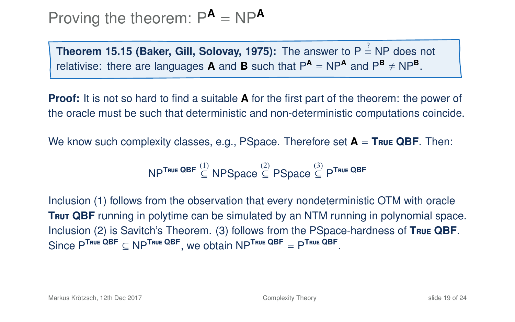# Proving the theorem:  $P^A = NP^A$

**Theorem 15.15 (Baker, Gill, Solovay, 1975):** The answer to P  $\stackrel{?}{=}$  NP does not relativise: there are languages **A** and **B** such that  $P^{\text{A}} = NP^{\text{A}}$  and  $P^{\text{B}} \neq NP^{\text{B}}$ .

**Proof:** It is not so hard to find a suitable **A** for the first part of the theorem: the power of the oracle must be such that deterministic and non-deterministic computations coincide.

We know such complexity classes, e.g., PSpace. Therefore set **A** = **T**rue **QBF**. Then:

$$
\mathsf{NP}^{\mathsf{True}\ \mathsf{QBF}} \overset{(1)}{\subseteq} \mathsf{NPSpace} \overset{(2)}{\subseteq} \mathsf{PSpace} \overset{(3)}{\subseteq} \mathsf{P}^{\mathsf{True}\ \mathsf{QBF}}
$$

Inclusion (1) follows from the observation that every nondeterministic OTM with oracle **TRUT QBF** running in polytime can be simulated by an NTM running in polynomial space. Inclusion (2) is Savitch's Theorem. (3) follows from the PSpace-hardness of **T**rue **QBF**.  $\text{Since } P^{\text{True QBF}} \subseteq \text{NP}^{\text{True QBF}}, \text{ we obtain } \text{NP}^{\text{True QBF}} = P^{\text{True QBF}}.$ 

Markus Krötzsch, 12th Dec 2017 **[Complexity Theory](#page-0-0)** Complexity Theory slide 19 of 24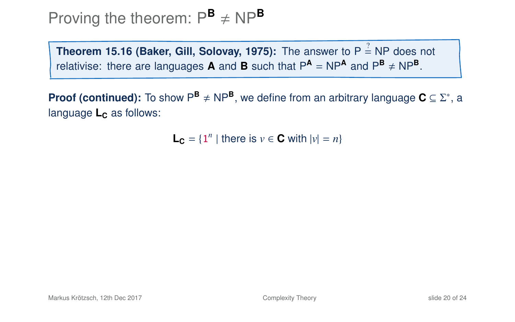**Theorem 15.16 (Baker, Gill, Solovay, 1975):** The answer to P  $\stackrel{?}{=}$  NP does not relativise: there are languages **A** and **B** such that  $P^{\text{A}} = NP^{\text{A}}$  and  $P^{\text{B}} \neq NP^{\text{B}}$ .

**Proof (continued):** To show  $P^{\mathbf{B}} \neq NP^{\mathbf{B}}$ , we define from an arbitrary language  $\mathbf{C} \subseteq \Sigma^*$ , a language **L<sub>c</sub>** as follows:

 $L_c = \{1^n | \text{ there is } v \in C \text{ with } |v| = n\}$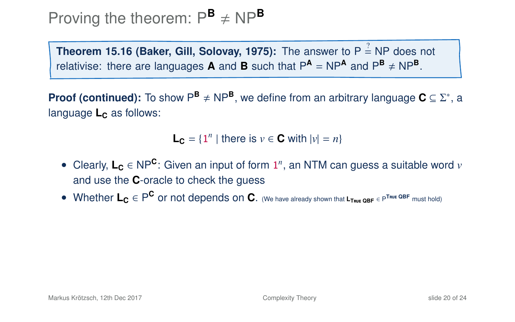**Theorem 15.16 (Baker, Gill, Solovay, 1975):** The answer to P  $\stackrel{?}{=}$  NP does not relativise: there are languages **A** and **B** such that  $P^{\text{A}} = NP^{\text{A}}$  and  $P^{\text{B}} \neq NP^{\text{B}}$ .

**Proof (continued):** To show  $P^{\mathbf{B}} \neq NP^{\mathbf{B}}$ , we define from an arbitrary language  $\mathbf{C} \subseteq \Sigma^*$ , a language **L<sub>c</sub>** as follows:

 $L_c = \{1^n | \text{ there is } v \in C \text{ with } |v| = n\}$ 

- Clearly, **L<sup>C</sup>** ∈ NP**<sup>C</sup>** : Given an input of form 1 *n* , an NTM can guess a suitable word *v* and use the **C**-oracle to check the guess
- Whether **L<sup>C</sup>** ∈ P **C** or not depends on **C**. (We have already shown that **<sup>L</sup>T**rue **QBF** <sup>∈</sup> <sup>P</sup> **<sup>T</sup>**rue **QBF** must hold)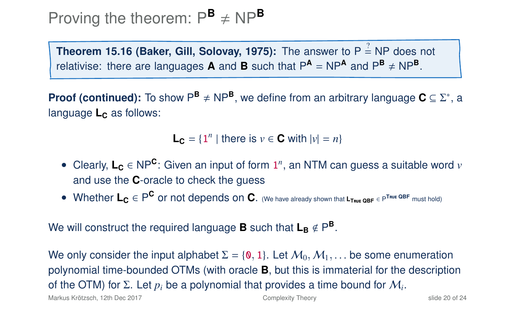**Theorem 15.16 (Baker, Gill, Solovay, 1975):** The answer to P  $\stackrel{?}{=}$  NP does not relativise: there are languages **A** and **B** such that  $P^{\text{A}} = NP^{\text{A}}$  and  $P^{\text{B}} \neq NP^{\text{B}}$ .

**Proof (continued):** To show  $P^{\mathbf{B}} \neq NP^{\mathbf{B}}$ , we define from an arbitrary language  $\mathbf{C} \subseteq \Sigma^*$ , a language **L<sub>c</sub>** as follows:

 $L_c = \{1^n | \text{ there is } v \in C \text{ with } |v| = n\}$ 

- Clearly, **L<sup>C</sup>** ∈ NP**<sup>C</sup>** : Given an input of form 1 *n* , an NTM can guess a suitable word *v* and use the **C**-oracle to check the guess
- Whether **L<sup>C</sup>** ∈ P **C** or not depends on **C**. (We have already shown that **<sup>L</sup>T**rue **QBF** <sup>∈</sup> <sup>P</sup> **<sup>T</sup>**rue **QBF** must hold)

We will construct the required language **B** such that  $L_B \notin P^B$ .

We only consider the input alphabet  $\Sigma = \{0, 1\}$ . Let  $\mathcal{M}_0, \mathcal{M}_1, \ldots$  be some enumeration polynomial time-bounded OTMs (with oracle **B**, but this is immaterial for the description of the OTM) for Σ. Let *p<sup>i</sup>* be a polynomial that provides a time bound for M*<sup>i</sup>* .

Markus Krötzsch, 12th Dec 2017 **[Complexity Theory](#page-0-0)** Complexity Theory slide 20 of 24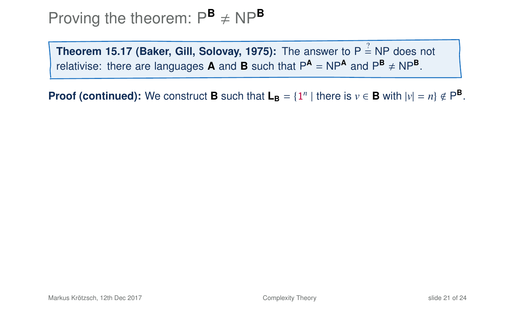**Theorem 15.17 (Baker, Gill, Solovay, 1975):** The answer to P  $\stackrel{?}{=}$  NP does not relativise: there are languages **A** and **B** such that  $P^{\text{A}} = NP^{\text{A}}$  and  $P^{\text{B}} \neq NP^{\text{B}}$ .

**Proof (continued):** We construct **B** such that  $L_B = \{1^n | \text{there is } v \in B \text{ with } |v| = n\} \notin P^B$ .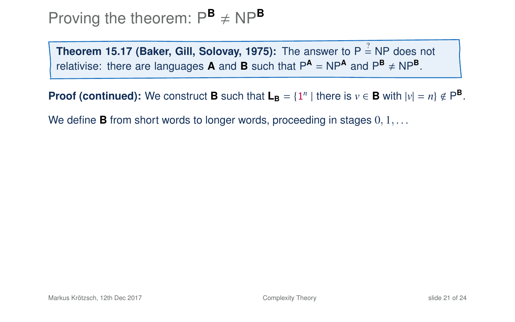**Theorem 15.17 (Baker, Gill, Solovay, 1975):** The answer to P  $\stackrel{?}{=}$  NP does not relativise: there are languages **A** and **B** such that  $P^{\text{A}} = NP^{\text{A}}$  and  $P^{\text{B}} \neq NP^{\text{B}}$ .

**Proof (continued):** We construct **B** such that  $L_B = \{1^n | \text{there is } v \in B \text{ with } |v| = n\} \notin P^B$ .

We define **B** from short words to longer words, proceeding in stages  $0, 1, \ldots$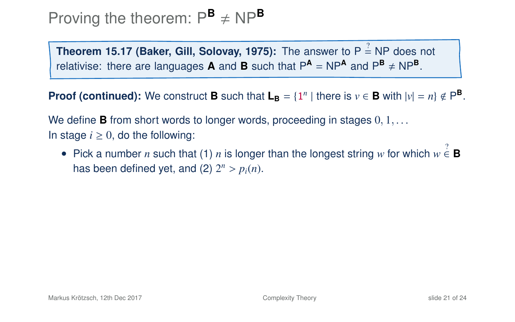**Theorem 15.17 (Baker, Gill, Solovay, 1975):** The answer to P  $\stackrel{?}{=}$  NP does not relativise: there are languages **A** and **B** such that  $P^{\text{A}} = NP^{\text{A}}$  and  $P^{\text{B}} \neq NP^{\text{B}}$ .

**Proof (continued):** We construct **B** such that  $L_B = \{1^n | \text{there is } v \in B \text{ with } |v| = n\} \notin P^B$ .

We define **B** from short words to longer words, proceeding in stages  $0, 1, \ldots$ In stage  $i \geq 0$ , do the following:

• Pick a number *n* such that (1) *n* is longer than the longest string *w* for which  $w \stackrel{?}{\in} \mathbf{B}$ has been defined yet, and (2)  $2^n > p_i(n)$ .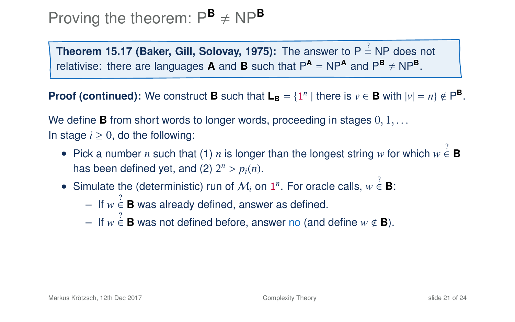# Proving the theorem:  $P^{\mathsf{B}} \neq NP^{\mathsf{B}}$

**Theorem 15.17 (Baker, Gill, Solovay, 1975):** The answer to P  $\stackrel{?}{=}$  NP does not relativise: there are languages **A** and **B** such that  $P^{\text{A}} = NP^{\text{A}}$  and  $P^{\text{B}} \neq NP^{\text{B}}$ .

**Proof (continued):** We construct **B** such that  $L_B = \{1^n | \text{there is } v \in B \text{ with } |v| = n\} \notin P^B$ .

We define **B** from short words to longer words, proceeding in stages  $0, 1, \ldots$ In stage  $i \geq 0$ , do the following:

- Pick a number *n* such that (1) *n* is longer than the longest string *w* for which  $w \stackrel{?}{\in} \mathbf{B}$ has been defined yet, and (2)  $2^n > p_i(n)$ .
- Simulate the (deterministic) run of  $\mathcal{M}_i$  on  $1^n$ . For oracle calls,  $w \in \mathbf{B}$ :
	- $-$  If  $w \stackrel{?}{\in}$  **B** was already defined, answer as defined.
	- $-$  If  $w \stackrel{?}{\in} \mathbf{B}$  was not defined before, answer no (and define  $w \notin \mathbf{B}$ ).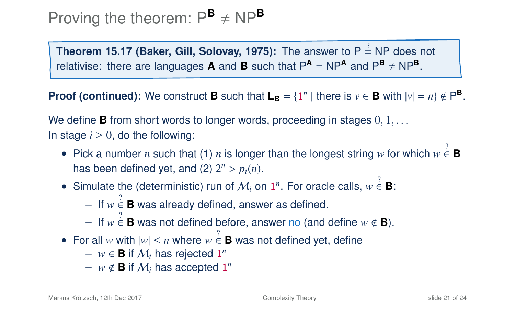**Theorem 15.17 (Baker, Gill, Solovay, 1975):** The answer to P  $\stackrel{?}{=}$  NP does not relativise: there are languages **A** and **B** such that  $P^{\text{A}} = NP^{\text{A}}$  and  $P^{\text{B}} \neq NP^{\text{B}}$ .

**Proof (continued):** We construct **B** such that  $L_B = \{1^n | \text{there is } v \in B \text{ with } |v| = n\} \notin P^B$ .

We define **B** from short words to longer words, proceeding in stages  $0, 1, \ldots$ In stage  $i \geq 0$ , do the following:

- Pick a number *n* such that (1) *n* is longer than the longest string *w* for which  $w \stackrel{?}{\in} \mathbf{B}$ has been defined yet, and (2)  $2^n > p_i(n)$ .
- Simulate the (deterministic) run of  $\mathcal{M}_i$  on  $1^n$ . For oracle calls,  $w \in \mathbf{B}$ :
	- $-$  If  $w \stackrel{?}{\in}$  **B** was already defined, answer as defined.
	- $-$  If  $w \stackrel{?}{\in} \mathbf{B}$  was not defined before, answer no (and define  $w \notin \mathbf{B}$ ).
- For all *w* with  $|w| \le n$  where  $w \in \mathbf{B}$  was not defined yet, define
	- $w \in \mathbf{B}$  if  $\mathcal{M}_i$  has rejected  $\mathbf{1}^n$
	- $w \notin \mathbf{B}$  if  $\mathcal{M}_i$  has accepted 1<sup>n</sup>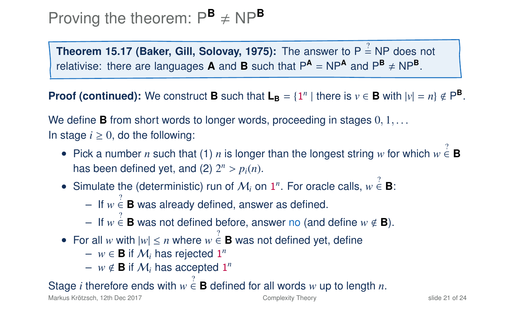**Theorem 15.17 (Baker, Gill, Solovay, 1975):** The answer to P  $\stackrel{?}{=}$  NP does not relativise: there are languages **A** and **B** such that  $P^{\text{A}} = NP^{\text{A}}$  and  $P^{\text{B}} \neq NP^{\text{B}}$ .

**Proof (continued):** We construct **B** such that  $L_B = \{1^n | \text{there is } v \in B \text{ with } |v| = n\} \notin P^B$ .

We define **B** from short words to longer words, proceeding in stages  $0, 1, \ldots$ In stage  $i \geq 0$ , do the following:

- Pick a number *n* such that (1) *n* is longer than the longest string *w* for which  $w \stackrel{?}{\in} \mathbf{B}$ has been defined yet, and (2)  $2^n > p_i(n)$ .
- Simulate the (deterministic) run of  $\mathcal{M}_i$  on  $1^n$ . For oracle calls,  $w \in \mathbf{B}$ :
	- $-$  If  $w \stackrel{?}{\in}$  **B** was already defined, answer as defined.
	- $-$  If  $w \stackrel{?}{\in} \mathbf{B}$  was not defined before, answer no (and define  $w \notin \mathbf{B}$ ).
- For all *w* with  $|w| \le n$  where  $w \in \mathbf{B}$  was not defined yet, define
	- $w \in \mathbf{B}$  if  $\mathcal{M}_i$  has rejected  $\mathbf{1}^n$
	- $w \notin \mathbf{B}$  if  $\mathcal{M}_i$  has accepted 1<sup>n</sup>

### Stage *i* therefore ends with  $w \stackrel{?}{\in} \mathbf{B}$  defined for all words  $w$  up to length  $n$ .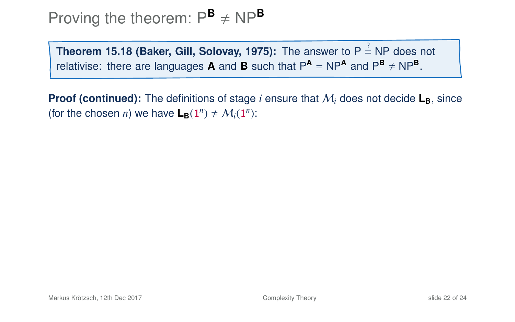**Theorem 15.18 (Baker, Gill, Solovay, 1975):** The answer to P  $\stackrel{?}{=}$  NP does not relativise: there are languages **A** and **B** such that  $P^{\text{A}} = NP^{\text{A}}$  and  $P^{\text{B}} \neq NP^{\text{B}}$ .

**Proof (continued):** The definitions of stage *i* ensure that  $M_i$  does not decide  $L_B$ , since (for the chosen *n*) we have  $\mathbf{L}_{\mathbf{B}}(1^n) \neq \mathcal{M}_i(1^n)$ :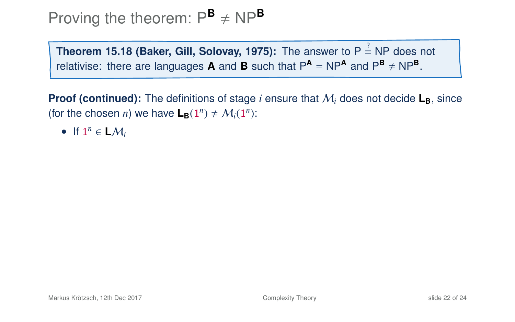**Theorem 15.18 (Baker, Gill, Solovay, 1975):** The answer to P  $\stackrel{?}{=}$  NP does not relativise: there are languages **A** and **B** such that  $P^{\text{A}} = NP^{\text{A}}$  and  $P^{\text{B}} \neq NP^{\text{B}}$ .

**Proof (continued):** The definitions of stage *i* ensure that  $M_i$  does not decide  $L_B$ , since (for the chosen *n*) we have  $\mathbf{L}_{\mathbf{B}}(1^n) \neq \mathcal{M}_i(1^n)$ :

• If  $1^n \in L\mathcal{M}_i$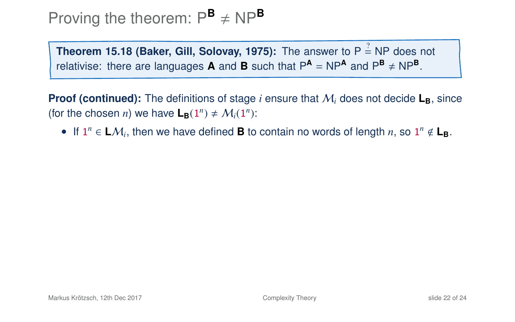**Theorem 15.18 (Baker, Gill, Solovay, 1975):** The answer to P  $\stackrel{?}{=}$  NP does not relativise: there are languages **A** and **B** such that  $P^{\text{A}} = NP^{\text{A}}$  and  $P^{\text{B}} \neq NP^{\text{B}}$ .

**Proof (continued):** The definitions of stage *i* ensure that  $M_i$  does not decide  $L_B$ , since (for the chosen *n*) we have  $\mathbf{L}_{\mathbf{B}}(1^n) \neq \mathcal{M}_i(1^n)$ :

• If  $1^n \in L\mathcal{M}_i$ , then we have defined **B** to contain no words of length *n*, so  $1^n \notin L_B$ .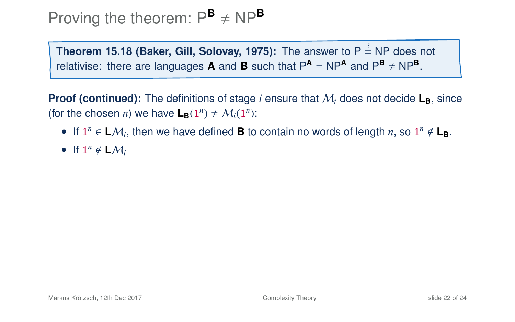**Theorem 15.18 (Baker, Gill, Solovay, 1975):** The answer to P  $\stackrel{?}{=}$  NP does not relativise: there are languages **A** and **B** such that  $P^{\text{A}} = NP^{\text{A}}$  and  $P^{\text{B}} \neq NP^{\text{B}}$ .

**Proof (continued):** The definitions of stage *i* ensure that  $M_i$  does not decide  $L_B$ , since (for the chosen *n*) we have  $\mathbf{L}_{\mathbf{B}}(1^n) \neq \mathcal{M}_i(1^n)$ :

- If  $1^n \in L\mathcal{M}_i$ , then we have defined **B** to contain no words of length *n*, so  $1^n \notin L_B$ .
- If  $1^n \notin LM_i$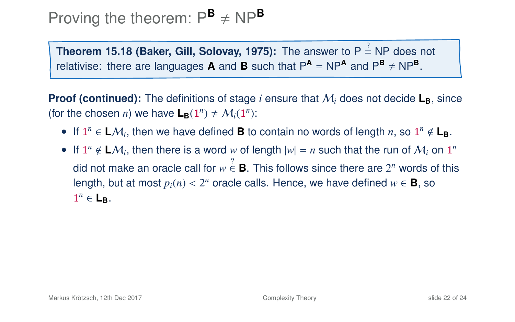**Theorem 15.18 (Baker, Gill, Solovay, 1975):** The answer to P  $\stackrel{?}{=}$  NP does not relativise: there are languages **A** and **B** such that  $P^{\text{A}} = NP^{\text{A}}$  and  $P^{\text{B}} \neq NP^{\text{B}}$ .

**Proof (continued):** The definitions of stage *i* ensure that  $M_i$  does not decide  $L_B$ , since (for the chosen *n*) we have  $\mathbf{L}_{\mathbf{B}}(1^n) \neq \mathcal{M}_i(1^n)$ :

- If  $1^n \in L\mathcal{M}_i$ , then we have defined **B** to contain no words of length *n*, so  $1^n \notin L_B$ .
- If  $1^n \notin LM_i$ , then there is a word w of length  $|w| = n$  such that the run of  $M_i$  on  $1^n$ did not make an oracle call for  $w \stackrel{?}{\in} \mathbf{B}$ . This follows since there are  $2^n$  words of this length, but at most  $p_i(n) < 2^n$  oracle calls. Hence, we have defined  $w \in \mathbf{B}$ , so  $1^n \in \mathbf{I}$  $1^n \in L_B$ .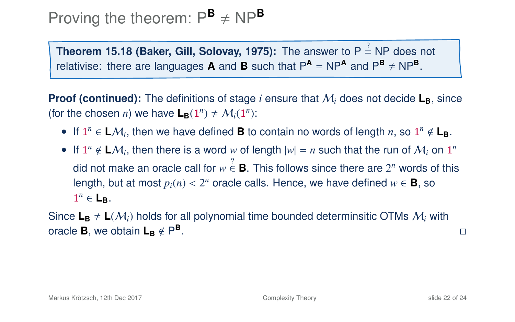**Theorem 15.18 (Baker, Gill, Solovay, 1975):** The answer to P  $\stackrel{?}{=}$  NP does not relativise: there are languages **A** and **B** such that  $P^{\text{A}} = NP^{\text{A}}$  and  $P^{\text{B}} \neq NP^{\text{B}}$ .

**Proof (continued):** The definitions of stage *i* ensure that  $M_i$  does not decide  $L_B$ , since (for the chosen *n*) we have  $\mathbf{L}_{\mathbf{B}}(1^n) \neq \mathcal{M}_i(1^n)$ :

- If  $1^n \in L\mathcal{M}_i$ , then we have defined **B** to contain no words of length *n*, so  $1^n \notin L_B$ .
- If  $1^n \notin LM_i$ , then there is a word w of length  $|w| = n$  such that the run of  $M_i$  on  $1^n$ did not make an oracle call for  $w \stackrel{?}{\in} \mathbf{B}$ . This follows since there are  $2^n$  words of this length, but at most  $p_i(n) < 2^n$  oracle calls. Hence, we have defined  $w \in \mathbf{B}$ , so  $1^n \in \mathbf{I}$  $1^n \in L_B$ .

Since  $L_B \neq L(M_i)$  holds for all polynomial time bounded determinsitic OTMs  $M_i$  with oracle **B**, we obtain  $L_B \notin P^B$ .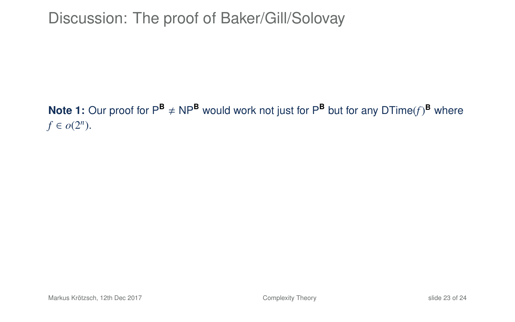## Discussion: The proof of Baker/Gill/Solovay

#### **Note 1:** Our proof for  $P^{\mathbf{B}} \neq NP^{\mathbf{B}}$  would work not just for  $P^{\mathbf{B}}$  but for any DTime(f)<sup>B</sup> where  $f \in o(2^n)$ .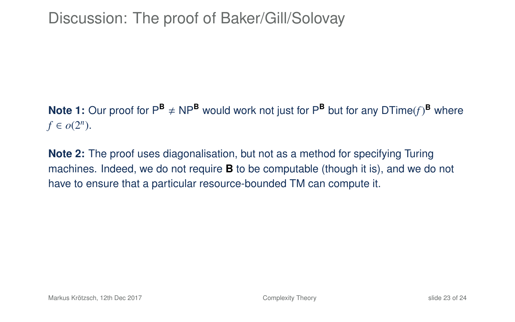**Note 1:** Our proof for  $P^{\mathbf{B}} \neq NP^{\mathbf{B}}$  would work not just for  $P^{\mathbf{B}}$  but for any DTime(f)<sup>B</sup> where  $f \in o(2^n)$ .

**Note 2:** The proof uses diagonalisation, but not as a method for specifying Turing machines. Indeed, we do not require **B** to be computable (though it is), and we do not have to ensure that a particular resource-bounded TM can compute it.